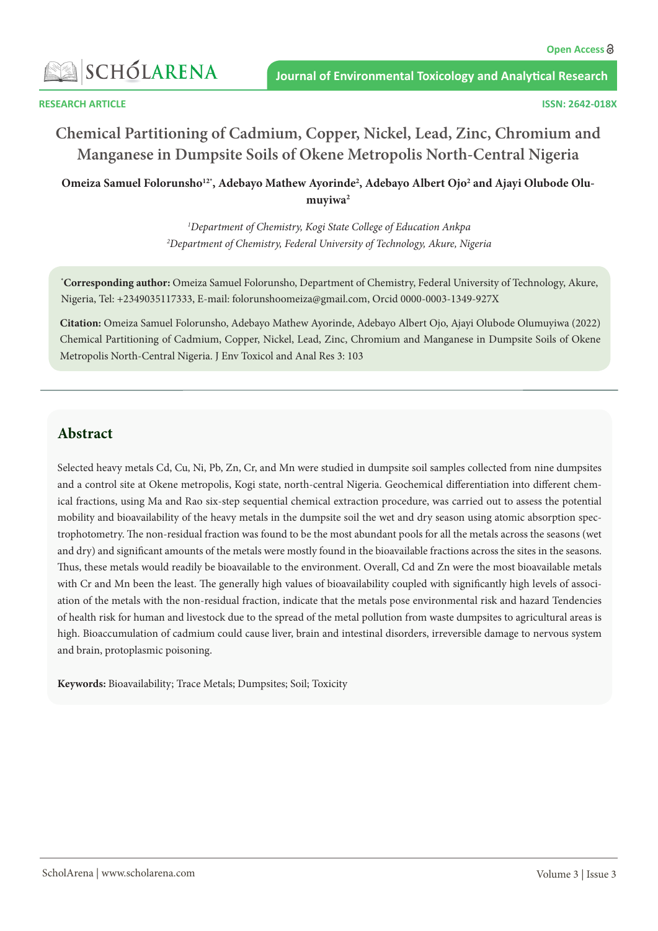

# **Chemical Partitioning of Cadmium, Copper, Nickel, Lead, Zinc, Chromium and Manganese in Dumpsite Soils of Okene Metropolis North-Central Nigeria**

Omeiza Samuel Folorunsho<sup>12\*</sup>, Adebayo Mathew Ayorinde<sup>2</sup>, Adebayo Albert Ojo<sup>2</sup> and Ajayi Olubode Olumuyiwa<sup>2</sup>

> *1 Department of Chemistry, Kogi State College of Education Ankpa 2 Department of Chemistry, Federal University of Technology, Akure, Nigeria*

**\* Corresponding author:** Omeiza Samuel Folorunsho, Department of Chemistry, Federal University of Technology, Akure, Nigeria, Tel: +2349035117333, E-mail: [folorunshoomeiza@gmail.com](mailto:folorunshoomeiza@gmail.com), Orcid 0000-0003-1349-927X

**Citation:** Omeiza Samuel Folorunsho, Adebayo Mathew Ayorinde, Adebayo Albert Ojo, Ajayi Olubode Olumuyiwa (2022) Chemical Partitioning of Cadmium, Copper, Nickel, Lead, Zinc, Chromium and Manganese in Dumpsite Soils of Okene Metropolis North-Central Nigeria. J Env Toxicol and Anal Res 3: 103

# **Abstract**

Selected heavy metals Cd, Cu, Ni, Pb, Zn, Cr, and Mn were studied in dumpsite soil samples collected from nine dumpsites and a control site at Okene metropolis, Kogi state, north-central Nigeria. Geochemical differentiation into different chemical fractions, using Ma and Rao six-step sequential chemical extraction procedure, was carried out to assess the potential mobility and bioavailability of the heavy metals in the dumpsite soil the wet and dry season using atomic absorption spectrophotometry. The non-residual fraction was found to be the most abundant pools for all the metals across the seasons (wet and dry) and significant amounts of the metals were mostly found in the bioavailable fractions across the sites in the seasons. Thus, these metals would readily be bioavailable to the environment. Overall, Cd and Zn were the most bioavailable metals with Cr and Mn been the least. The generally high values of bioavailability coupled with significantly high levels of association of the metals with the non-residual fraction, indicate that the metals pose environmental risk and hazard Tendencies of health risk for human and livestock due to the spread of the metal pollution from waste dumpsites to agricultural areas is high. Bioaccumulation of cadmium could cause liver, brain and intestinal disorders, irreversible damage to nervous system and brain, protoplasmic poisoning.

**Keywords:** Bioavailability; Trace Metals; Dumpsites; Soil; Toxicity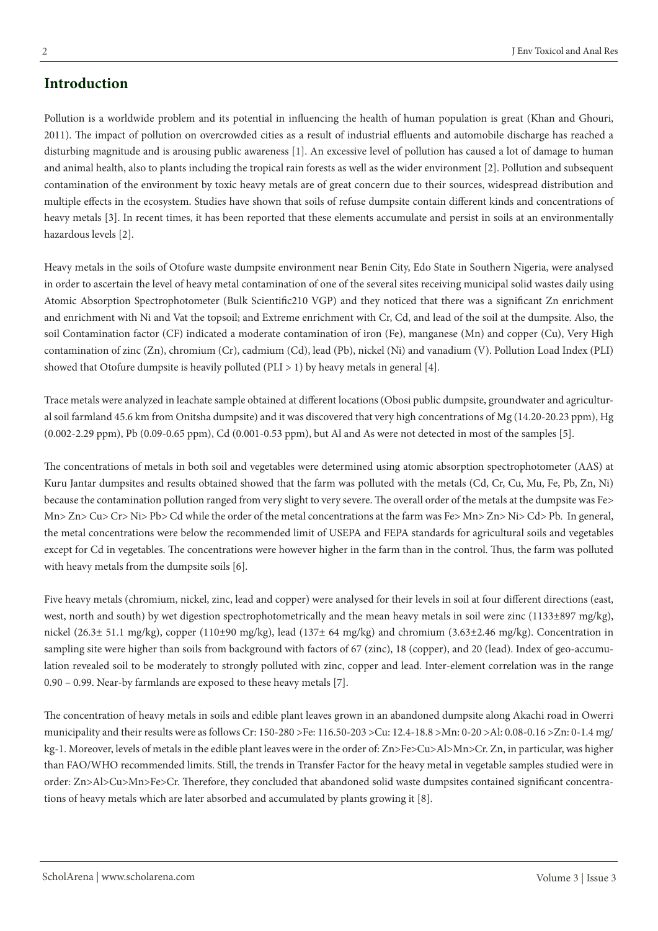# **Introduction**

Pollution is a worldwide problem and its potential in influencing the health of human population is great (Khan and Ghouri, 2011). The impact of pollution on overcrowded cities as a result of industrial effluents and automobile discharge has reached a disturbing magnitude and is arousing public awareness [1]. An excessive level of pollution has caused a lot of damage to human and animal health, also to plants including the tropical rain forests as well as the wider environment [2]. Pollution and subsequent contamination of the environment by toxic heavy metals are of great concern due to their sources, widespread distribution and multiple effects in the ecosystem. Studies have shown that soils of refuse dumpsite contain different kinds and concentrations of heavy metals [3]. In recent times, it has been reported that these elements accumulate and persist in soils at an environmentally hazardous levels [2].

Heavy metals in the soils of Otofure waste dumpsite environment near Benin City, Edo State in Southern Nigeria, were analysed in order to ascertain the level of heavy metal contamination of one of the several sites receiving municipal solid wastes daily using Atomic Absorption Spectrophotometer (Bulk Scientific210 VGP) and they noticed that there was a significant Zn enrichment and enrichment with Ni and Vat the topsoil; and Extreme enrichment with Cr, Cd, and lead of the soil at the dumpsite. Also, the soil Contamination factor (CF) indicated a moderate contamination of iron (Fe), manganese (Mn) and copper (Cu), Very High contamination of zinc (Zn), chromium (Cr), cadmium (Cd), lead (Pb), nickel (Ni) and vanadium (V). Pollution Load Index (PLI) showed that Otofure dumpsite is heavily polluted (PLI  $>$  1) by heavy metals in general [4].

Trace metals were analyzed in leachate sample obtained at different locations (Obosi public dumpsite, groundwater and [agricultur](https://www.omicsonline.org/biofertilizers-biopesticides.php)[al s](https://www.omicsonline.org/biofertilizers-biopesticides.php)oil farmland 45.6 km from Onitsha dumpsite) and it was discovered that very high concentrations of Mg (14.20-20.23 ppm), Hg (0.002-2.29 ppm), Pb (0.09-0.65 ppm), Cd (0.001-0.53 ppm), but Al and As were not detected in most of the samples [5].

The concentrations of metals in both soil and vegetables were determined using atomic absorption spectrophotometer (AAS) at Kuru Jantar dumpsites and results obtained showed that the farm was polluted with the metals (Cd, Cr, Cu, Mu, Fe, Pb, Zn, Ni) because the contamination pollution ranged from very slight to very severe. The overall order of the metals at the dumpsite was Fe> Mn> Zn> Cu> Cr> Ni> Pb> Cd while the order of the metal concentrations at the farm was Fe> Mn> Zn> Ni> Cd> Pb. In general, the metal concentrations were below the recommended limit of USEPA and FEPA standards for agricultural soils and vegetables except for Cd in vegetables. The concentrations were however higher in the farm than in the control. Thus, the farm was polluted with heavy metals from the dumpsite soils [6].

Five heavy metals (chromium, nickel, zinc, lead and copper) were analysed for their levels in soil at four different directions (east, west, north and south) by wet digestion spectrophotometrically and the mean heavy metals in soil were zinc (1133±897 mg/kg), nickel (26.3± 51.1 mg/kg), copper (110±90 mg/kg), lead (137± 64 mg/kg) and chromium (3.63±2.46 mg/kg). Concentration in sampling site were higher than soils from background with factors of 67 (zinc), 18 (copper), and 20 (lead). Index of geo-accumulation revealed soil to be moderately to strongly polluted with zinc, copper and lead. Inter-element correlation was in the range 0.90 – 0.99. Near-by farmlands are exposed to these heavy metals [7].

The concentration of heavy metals in soils and edible plant leaves grown in an abandoned dumpsite along Akachi road in Owerri municipality and their results were as follows Cr: 150-280 >Fe: 116.50-203 >Cu: 12.4-18.8 >Mn: 0-20 >Al: 0.08-0.16 >Zn: 0-1.4 mg/ kg-1. Moreover, levels of metals in the edible plant leaves were in the order of: Zn>Fe>Cu>Al>Mn>Cr. Zn, in particular, was higher than FAO/WHO recommended limits. Still, the trends in Transfer Factor for the heavy metal in vegetable samples studied were in order: Zn>Al>Cu>Mn>Fe>Cr. Therefore, they concluded that abandoned solid waste dumpsites contained significant concentrations of heavy metals which are later absorbed and accumulated by plants growing it [8].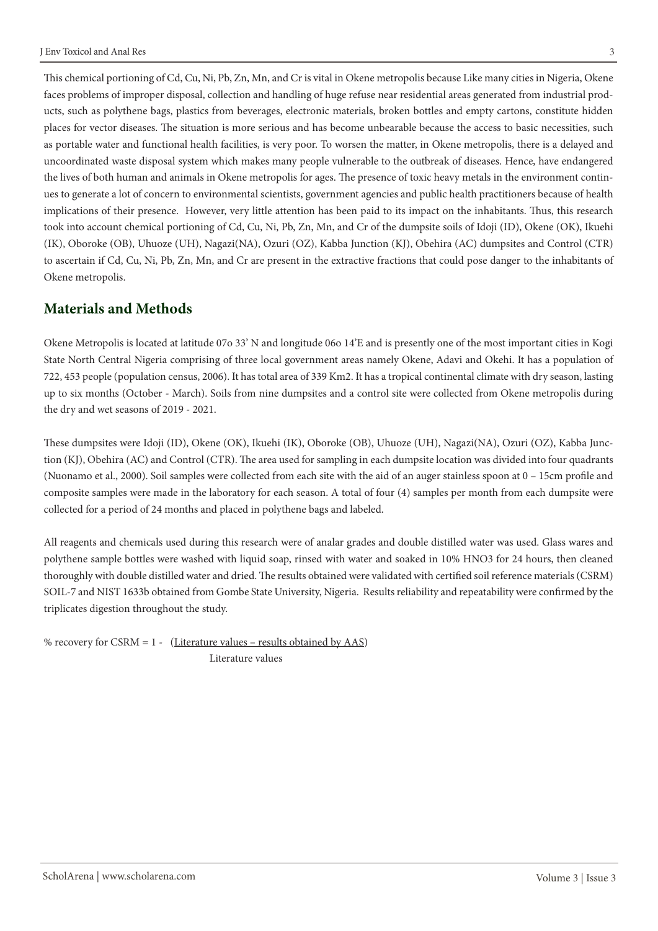This chemical portioning of Cd, Cu, Ni, Pb, Zn, Mn, and Cr is vital in Okene metropolis because Like many cities in Nigeria, Okene faces problems of improper disposal, collection and handling of huge refuse near residential areas generated from industrial products, such as polythene bags, plastics from beverages, electronic materials, broken bottles and empty cartons, constitute hidden places for vector diseases. The situation is more serious and has become unbearable because the access to basic necessities, such as portable water and functional health facilities, is very poor. To worsen the matter, in Okene metropolis, there is a delayed and uncoordinated waste disposal system which makes many people vulnerable to the outbreak of diseases. Hence, have endangered the lives of both human and animals in Okene metropolis for ages. The presence of toxic heavy metals in the environment continues to generate a lot of concern to environmental scientists, government agencies and public health practitioners because of health implications of their presence. However, very little attention has been paid to its impact on the inhabitants. Thus, this research took into account chemical portioning of Cd, Cu, Ni, Pb, Zn, Mn, and Cr of the dumpsite soils of Idoji (ID), Okene (OK), Ikuehi (IK), Oboroke (OB), Uhuoze (UH), Nagazi(NA), Ozuri (OZ), Kabba Junction (KJ), Obehira (AC) dumpsites and Control (CTR) to ascertain if Cd, Cu, Ni, Pb, Zn, Mn, and Cr are present in the extractive fractions that could pose danger to the inhabitants of Okene metropolis.

# **Materials and Methods**

Okene Metropolis is located at latitude 07o 33' N and longitude 06o 14'E and is presently one of the most important cities in Kogi State North Central Nigeria comprising of three local government areas namely Okene, Adavi and Okehi. It has a population of 722, 453 people (population census, 2006). It has total area of 339 Km2. It has a tropical continental climate with dry season, lasting up to six months (October - March). Soils from nine dumpsites and a control site were collected from Okene metropolis during the dry and wet seasons of 2019 - 2021.

These dumpsites were Idoji (ID), Okene (OK), Ikuehi (IK), Oboroke (OB), Uhuoze (UH), Nagazi(NA), Ozuri (OZ), Kabba Junction (KJ), Obehira (AC) and Control (CTR). The area used for sampling in each dumpsite location was divided into four quadrants (Nuonamo et al., 2000). Soil samples were collected from each site with the aid of an auger stainless spoon at 0 – 15cm profile and composite samples were made in the laboratory for each season. A total of four (4) samples per month from each dumpsite were collected for a period of 24 months and placed in polythene bags and labeled.

All reagents and chemicals used during this research were of analar grades and double distilled water was used. Glass wares and polythene sample bottles were washed with liquid soap, rinsed with water and soaked in 10% HNO3 for 24 hours, then cleaned thoroughly with double distilled water and dried. The results obtained were validated with certified soil reference materials (CSRM) SOIL-7 and NIST 1633b obtained from Gombe State University, Nigeria. Results reliability and repeatability were confirmed by the triplicates digestion throughout the study.

% recovery for CSRM =  $1 - (Literature values – results obtained by AAS)$ Literature values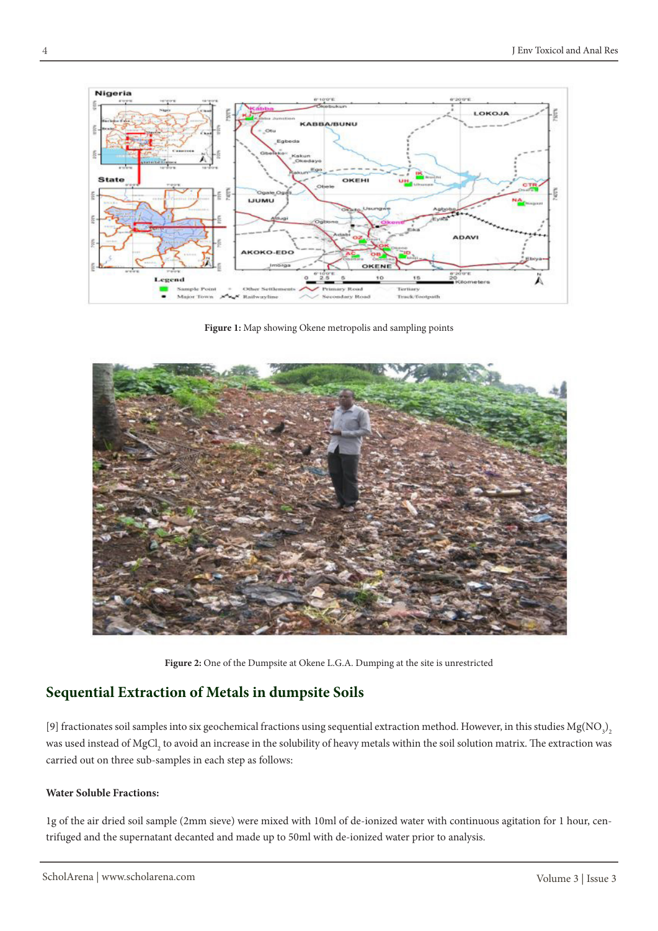

**Figure 1:** Map showing Okene metropolis and sampling points



**Figure 2:** One of the Dumpsite at Okene L.G.A. Dumping at the site is unrestricted

# **Sequential Extraction of Metals in dumpsite Soils**

[9] fractionates soil samples into six geochemical fractions using sequential extraction method. However, in this studies  $Mg(NO<sub>3</sub>)$ was used instead of MgCl<sub>2</sub> to avoid an increase in the solubility of heavy metals within the soil solution matrix. The extraction was carried out on three sub-samples in each step as follows:

### **Water Soluble Fractions:**

1g of the air dried soil sample (2mm sieve) were mixed with 10ml of de-ionized water with continuous agitation for 1 hour, centrifuged and the supernatant decanted and made up to 50ml with de-ionized water prior to analysis.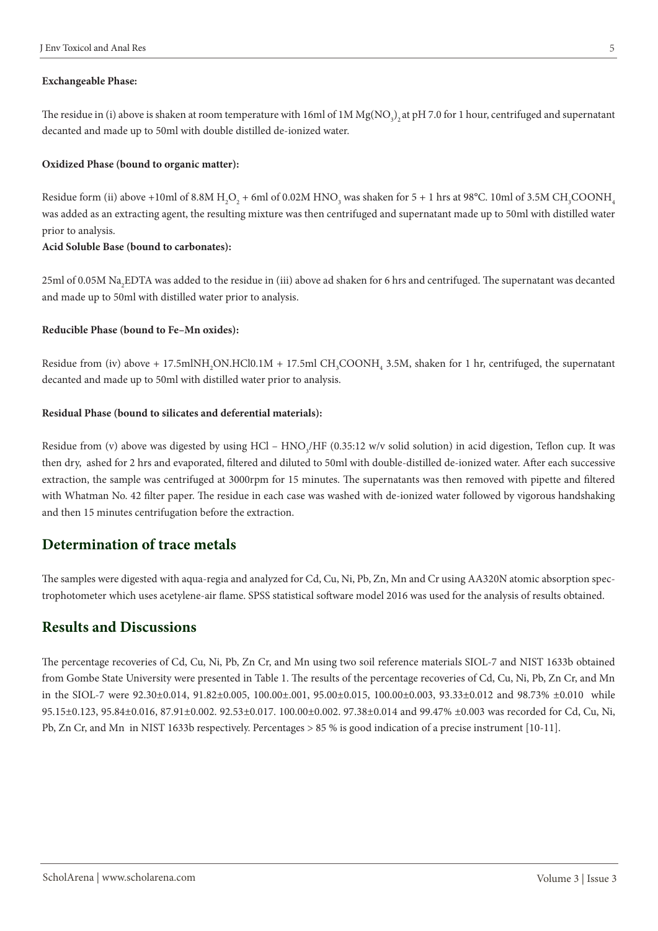#### **Exchangeable Phase:**

The residue in (i) above is shaken at room temperature with 16ml of 1M Mg(NO<sub>3</sub>)<sub>2</sub> at pH 7.0 for 1 hour, centrifuged and supernatant decanted and made up to 50ml with double distilled de-ionized water.

#### **Oxidized Phase (bound to organic matter):**

Residue form (ii) above +10ml of 8.8M H<sub>2</sub>O<sub>2</sub> + 6ml of 0.02M HNO<sub>3</sub> was shaken for 5 + 1 hrs at 98°C. 10ml of 3.5M CH<sub>3</sub>COONH<sub>4</sub> was added as an extracting agent, the resulting mixture was then centrifuged and supernatant made up to 50ml with distilled water prior to analysis.

#### **Acid Soluble Base (bound to carbonates):**

 $25{\rm ml}$  of 0.05M Na<sub>2</sub>EDTA was added to the residue in (iii) above ad shaken for 6 hrs and centrifuged. The supernatant was decanted and made up to 50ml with distilled water prior to analysis.

#### **Reducible Phase (bound to Fe–Mn oxides):**

Residue from (iv) above + 17.5mlNH<sub>2</sub>ON.HCl0.1M + 17.5ml CH<sub>3</sub>COONH<sub>4</sub> 3.5M, shaken for 1 hr, centrifuged, the supernatant decanted and made up to 50ml with distilled water prior to analysis.

#### **Residual Phase (bound to silicates and deferential materials):**

Residue from (v) above was digested by using HCl –  $\rm HNO_3/HF$  (0.35:12 w/v solid solution) in acid digestion, Teflon cup. It was then dry, ashed for 2 hrs and evaporated, filtered and diluted to 50ml with double-distilled de-ionized water. After each successive extraction, the sample was centrifuged at 3000rpm for 15 minutes. The supernatants was then removed with pipette and filtered with Whatman No. 42 filter paper. The residue in each case was washed with de-ionized water followed by vigorous handshaking and then 15 minutes centrifugation before the extraction.

### **Determination of trace metals**

The samples were digested with aqua-regia and analyzed for Cd, Cu, Ni, Pb, Zn, Mn and Cr using AA320N atomic absorption spectrophotometer which uses acetylene-air flame. SPSS statistical software model 2016 was used for the analysis of results obtained.

### **Results and Discussions**

The percentage recoveries of Cd, Cu, Ni, Pb, Zn Cr, and Mn using two soil reference materials SIOL-7 and NIST 1633b obtained from Gombe State University were presented in Table 1. The results of the percentage recoveries of Cd, Cu, Ni, Pb, Zn Cr, and Mn in the SIOL-7 were 92.30±0.014, 91.82±0.005, 100.00±.001, 95.00±0.015, 100.00±0.003, 93.33±0.012 and 98.73% ±0.010 while 95.15±0.123, 95.84±0.016, 87.91±0.002. 92.53±0.017. 100.00±0.002. 97.38±0.014 and 99.47% ±0.003 was recorded for Cd, Cu, Ni, Pb, Zn Cr, and Mn in NIST 1633b respectively. Percentages > 85 % is good indication of a precise instrument [10-11].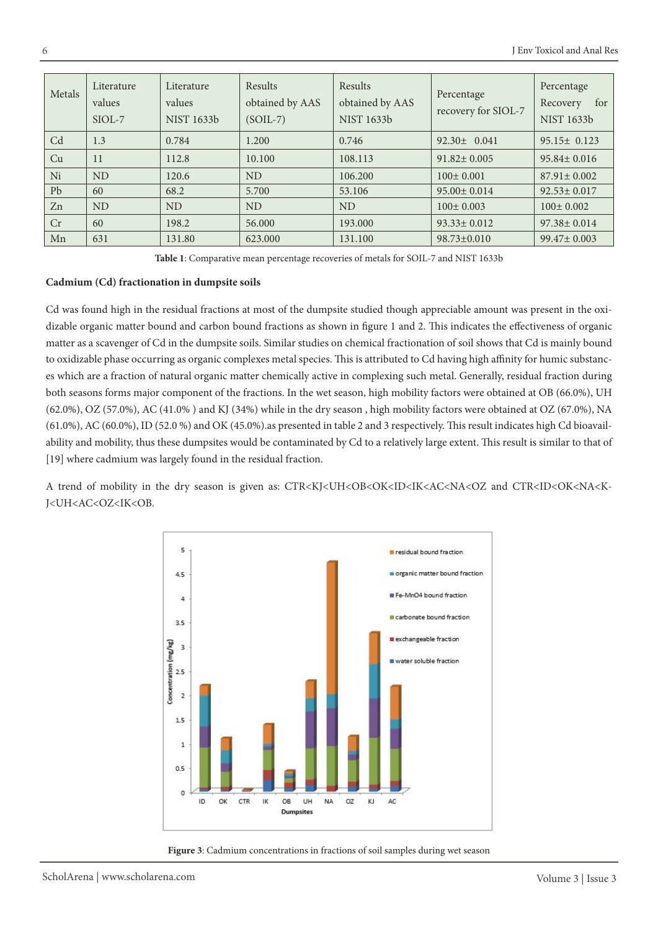| Metals | Literature<br>values<br>SIOL-7 | Literature<br>values<br><b>NIST 1633b</b> | Results<br>obtained by AAS<br>$(SOIL-7)$ | Results<br>obtained by AAS<br><b>NIST 1633b</b> | Percentage<br>recovery for SIOL-7 | Percentage<br>for<br>Recovery<br><b>NIST 1633b</b> |
|--------|--------------------------------|-------------------------------------------|------------------------------------------|-------------------------------------------------|-----------------------------------|----------------------------------------------------|
| Cd     | 1.3                            | 0.784                                     | 1.200                                    | 0.746                                           | $92.30 \pm 0.041$                 | $95.15 \pm 0.123$                                  |
| Cu     | 11                             | 112.8                                     | 10.100                                   | 108.113                                         | $91.82 \pm 0.005$                 | $95.84 \pm 0.016$                                  |
| Ni     | <b>ND</b>                      | 120.6                                     | <b>ND</b>                                | 106.200                                         | $100 \pm 0.001$                   | $87.91 \pm 0.002$                                  |
| Pb     | 60                             | 68.2                                      | 5.700                                    | 53.106                                          | $95.00 \pm 0.014$                 | $92.53 \pm 0.017$                                  |
| Zn     | <b>ND</b>                      | <b>ND</b>                                 | <b>ND</b>                                | <b>ND</b>                                       | $100 \pm 0.003$                   | $100 \pm 0.002$                                    |
| Cr     | 60                             | 198.2                                     | 56,000                                   | 193,000                                         | $93.33 \pm 0.012$                 | $97.38 \pm 0.014$                                  |
| Mn     | 631                            | 131.80                                    | 623.000                                  | 131.100                                         | $98.73 \pm 0.010$                 | $99.47 \pm 0.003$                                  |

**Table 1**: Comparative mean percentage recoveries of metals for SOIL-7 and NIST 1633b

#### **Cadmium (Cd) fractionation in dumpsite soils**

Cd was found high in the residual fractions at most of the dumpsite studied though appreciable amount was present in the oxidizable organic matter bound and carbon bound fractions as shown in figure 1 and 2. This indicates the effectiveness of organic matter as a scavenger of Cd in the dumpsite soils. Similar studies on chemical fractionation of soil shows that Cd is mainly bound to oxidizable phase occurring as organic complexes metal species. This is attributed to Cd having high affinity for humic substances which are a fraction of natural organic matter chemically active in complexing such metal. Generally, residual fraction during both seasons forms major component of the fractions. In the wet season, high mobility factors were obtained at OB (66.0%), UH (62.0%), OZ (57.0%), AC (41.0% ) and KJ (34%) while in the dry season , high mobility factors were obtained at OZ (67.0%), NA (61.0%), AC (60.0%), ID (52.0 %) and OK (45.0%).as presented in table 2 and 3 respectively. This result indicates high Cd bioavailability and mobility, thus these dumpsites would be contaminated by Cd to a relatively large extent. This result is similar to that of [19] where cadmium was largely found in the residual fraction.

A trend of mobility in the dry season is given as: CTR<KJ<UH<OB<OK<ID<IK<AC<NA<OZ and CTR<ID<OK<NA<K-J<UH<AC<OZ<IK<OB.



**Figure 3**: Cadmium concentrations in fractions of soil samples during wet season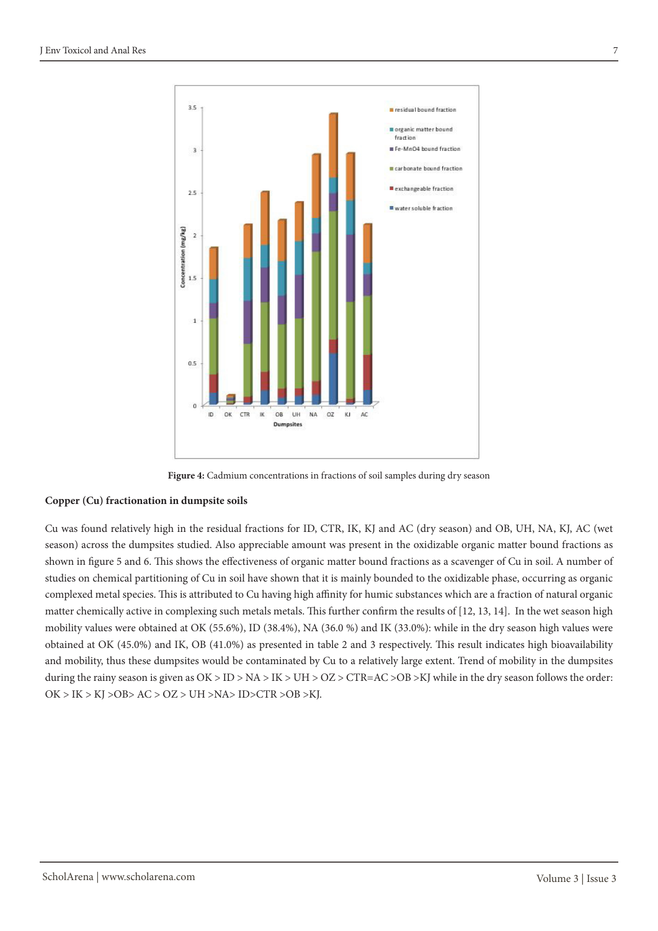

**Figure 4:** Cadmium concentrations in fractions of soil samples during dry season

#### **Copper (Cu) fractionation in dumpsite soils**

Cu was found relatively high in the residual fractions for ID, CTR, IK, KJ and AC (dry season) and OB, UH, NA, KJ, AC (wet season) across the dumpsites studied. Also appreciable amount was present in the oxidizable organic matter bound fractions as shown in figure 5 and 6. This shows the effectiveness of organic matter bound fractions as a scavenger of Cu in soil. A number of studies on chemical partitioning of Cu in soil have shown that it is mainly bounded to the oxidizable phase, occurring as organic complexed metal species. This is attributed to Cu having high affinity for humic substances which are a fraction of natural organic matter chemically active in complexing such metals metals. This further confirm the results of [12, 13, 14]. In the wet season high mobility values were obtained at OK (55.6%), ID (38.4%), NA (36.0 %) and IK (33.0%): while in the dry season high values were obtained at OK (45.0%) and IK, OB (41.0%) as presented in table 2 and 3 respectively. This result indicates high bioavailability and mobility, thus these dumpsites would be contaminated by Cu to a relatively large extent. Trend of mobility in the dumpsites during the rainy season is given as  $OK > ID > NA > IK > UH > OZ > CTR=AC > OB > KJ$  while in the dry season follows the order: OK > IK > KJ >OB> AC > OZ > UH >NA> ID>CTR >OB >KJ.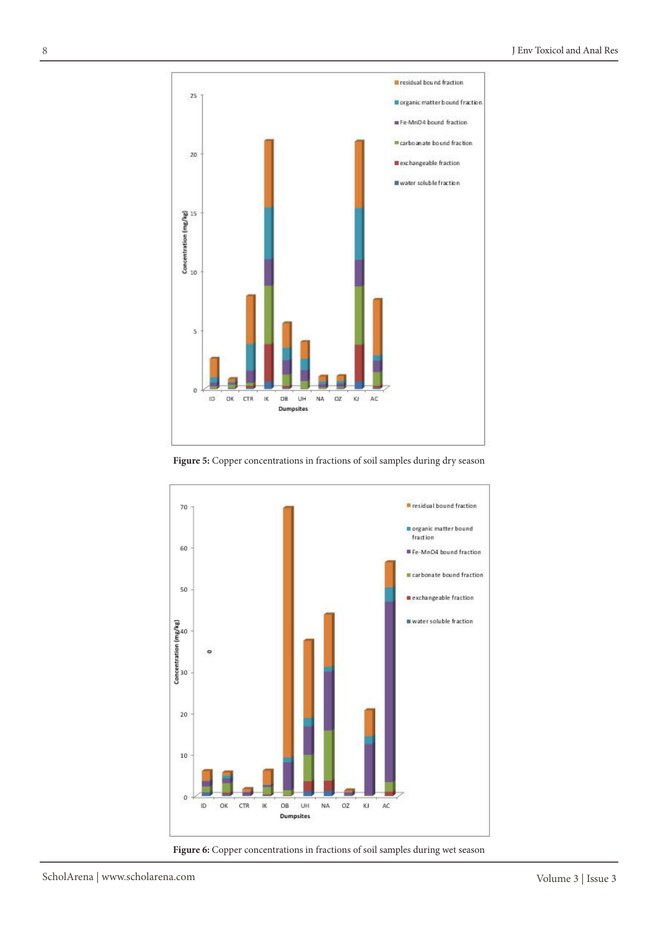

Figure 5: Copper concentrations in fractions of soil samples during dry season



**Figure 6:** Copper concentrations in fractions of soil samples during wet season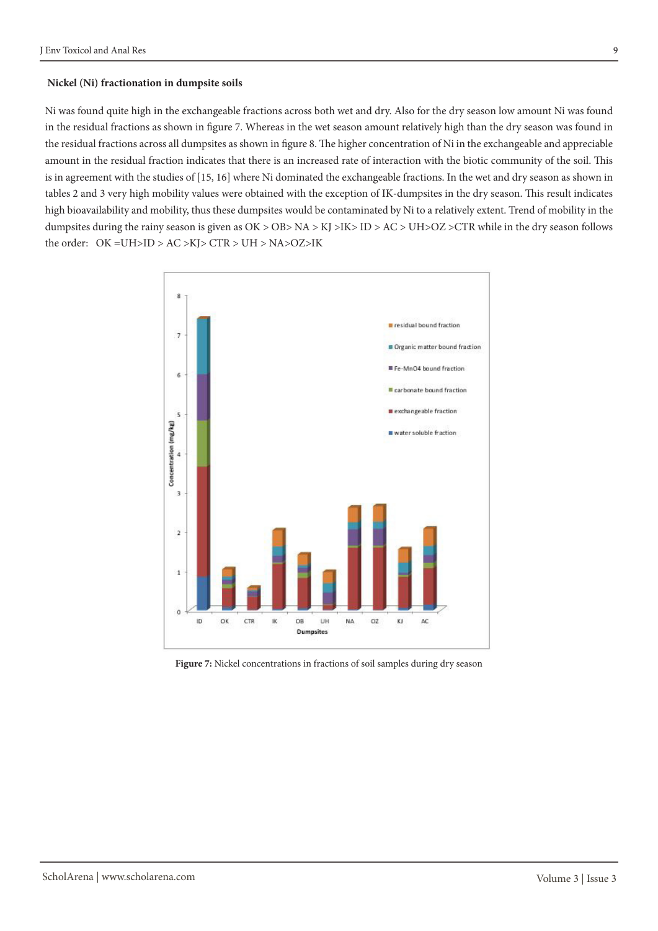#### **Nickel (Ni) fractionation in dumpsite soils**

Ni was found quite high in the exchangeable fractions across both wet and dry. Also for the dry season low amount Ni was found in the residual fractions as shown in figure 7. Whereas in the wet season amount relatively high than the dry season was found in the residual fractions across all dumpsites as shown in figure 8. The higher concentration of Ni in the exchangeable and appreciable amount in the residual fraction indicates that there is an increased rate of interaction with the biotic community of the soil. This is in agreement with the studies of [15, 16] where Ni dominated the exchangeable fractions. In the wet and dry season as shown in tables 2 and 3 very high mobility values were obtained with the exception of IK-dumpsites in the dry season. This result indicates high bioavailability and mobility, thus these dumpsites would be contaminated by Ni to a relatively extent. Trend of mobility in the dumpsites during the rainy season is given as OK > OB> NA > KJ >IK> ID > AC > UH>OZ >CTR while in the dry season follows the order: OK =UH>ID > AC >KJ> CTR > UH > NA>OZ>IK



Figure 7: Nickel concentrations in fractions of soil samples during dry season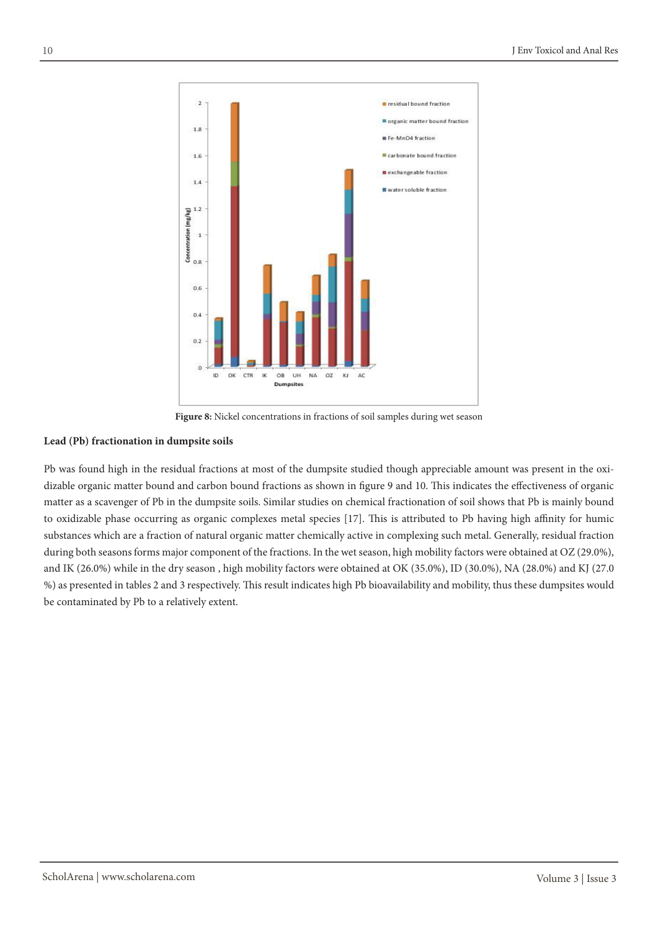

**Figure 8:** Nickel concentrations in fractions of soil samples during wet season

#### **Lead (Pb) fractionation in dumpsite soils**

Pb was found high in the residual fractions at most of the dumpsite studied though appreciable amount was present in the oxidizable organic matter bound and carbon bound fractions as shown in figure 9 and 10. This indicates the effectiveness of organic matter as a scavenger of Pb in the dumpsite soils. Similar studies on chemical fractionation of soil shows that Pb is mainly bound to oxidizable phase occurring as organic complexes metal species [17]. This is attributed to Pb having high affinity for humic substances which are a fraction of natural organic matter chemically active in complexing such metal. Generally, residual fraction during both seasons forms major component of the fractions. In the wet season, high mobility factors were obtained at OZ (29.0%), and IK (26.0%) while in the dry season , high mobility factors were obtained at OK (35.0%), ID (30.0%), NA (28.0%) and KJ (27.0 %) as presented in tables 2 and 3 respectively. This result indicates high Pb bioavailability and mobility, thus these dumpsites would be contaminated by Pb to a relatively extent.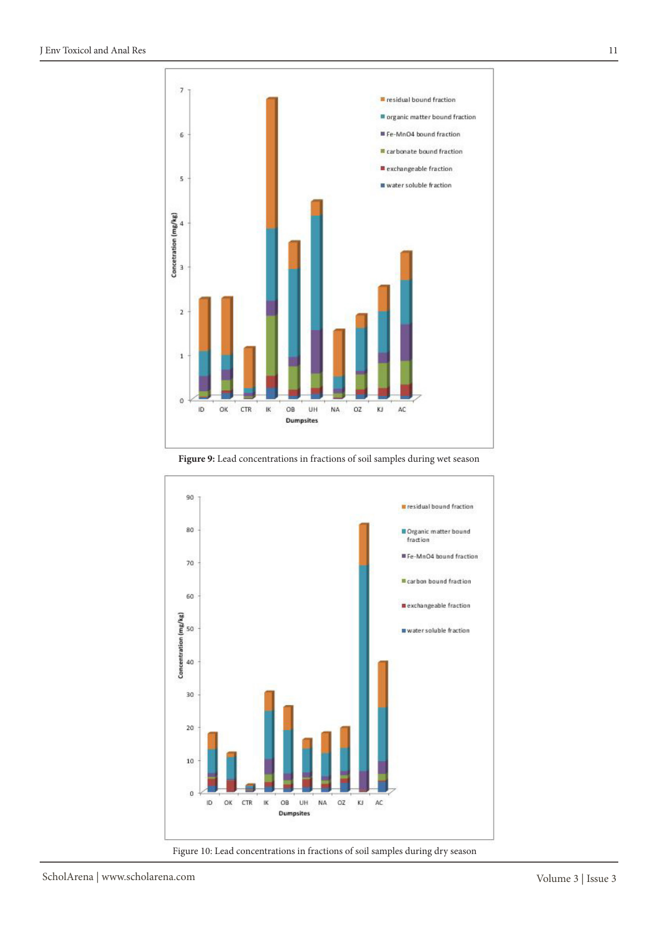

Figure 9: Lead concentrations in fractions of soil samples during wet season



Figure 10: Lead concentrations in fractions of soil samples during dry season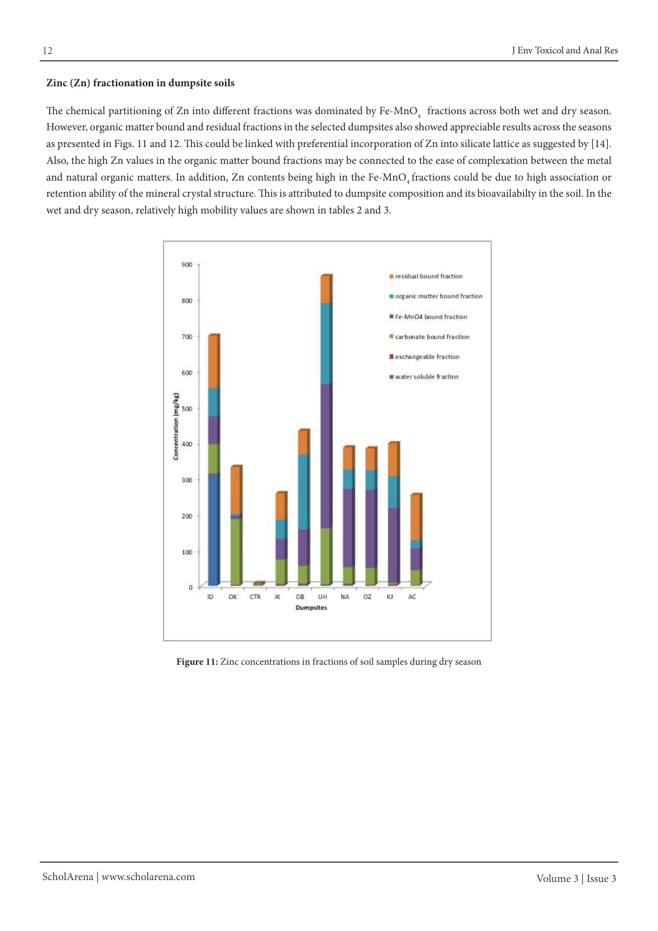#### **Zinc (Zn) fractionation in dumpsite soils**

The chemical partitioning of Zn into different fractions was dominated by Fe-MnO<sub>4</sub> fractions across both wet and dry season. However, organic matter bound and residual fractions in the selected dumpsites also showed appreciable results across the seasons as presented in Figs. 11 and 12. This could be linked with preferential incorporation of Zn into silicate lattice as suggested by [14]. Also, the high Zn values in the organic matter bound fractions may be connected to the ease of complexation between the metal and natural organic matters. In addition, Zn contents being high in the Fe-MnO<sub>4</sub> fractions could be due to high association or retention ability of the mineral crystal structure. This is attributed to dumpsite composition and its bioavailabilty in the soil. In the wet and dry season, relatively high mobility values are shown in tables 2 and 3.



Figure 11: Zinc concentrations in fractions of soil samples during dry season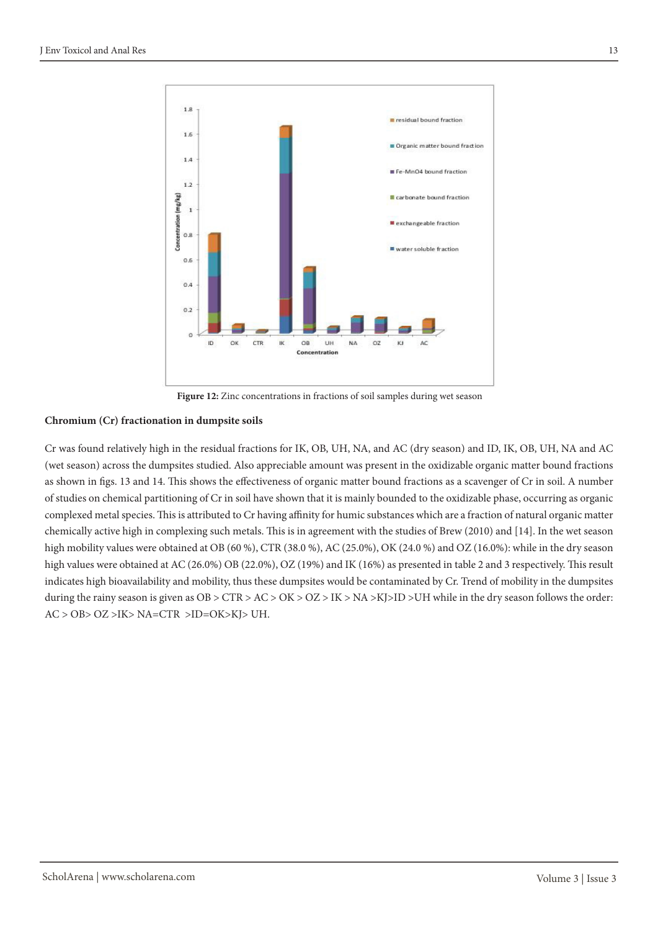

**Figure 12:** Zinc concentrations in fractions of soil samples during wet season

#### **Chromium (Cr) fractionation in dumpsite soils**

Cr was found relatively high in the residual fractions for IK, OB, UH, NA, and AC (dry season) and ID, IK, OB, UH, NA and AC (wet season) across the dumpsites studied. Also appreciable amount was present in the oxidizable organic matter bound fractions as shown in figs. 13 and 14. This shows the effectiveness of organic matter bound fractions as a scavenger of Cr in soil. A number of studies on chemical partitioning of Cr in soil have shown that it is mainly bounded to the oxidizable phase, occurring as organic complexed metal species. This is attributed to Cr having affinity for humic substances which are a fraction of natural organic matter chemically active high in complexing such metals. This is in agreement with the studies of Brew (2010) and [14]. In the wet season high mobility values were obtained at OB (60 %), CTR (38.0 %), AC (25.0%), OK (24.0 %) and OZ (16.0%): while in the dry season high values were obtained at AC (26.0%) OB (22.0%), OZ (19%) and IK (16%) as presented in table 2 and 3 respectively. This result indicates high bioavailability and mobility, thus these dumpsites would be contaminated by Cr. Trend of mobility in the dumpsites during the rainy season is given as  $OB > CTR > AC > OK > OZ > IK > NA > KJ > ID > UH$  while in the dry season follows the order: AC > OB> OZ >IK> NA=CTR >ID=OK>KJ> UH.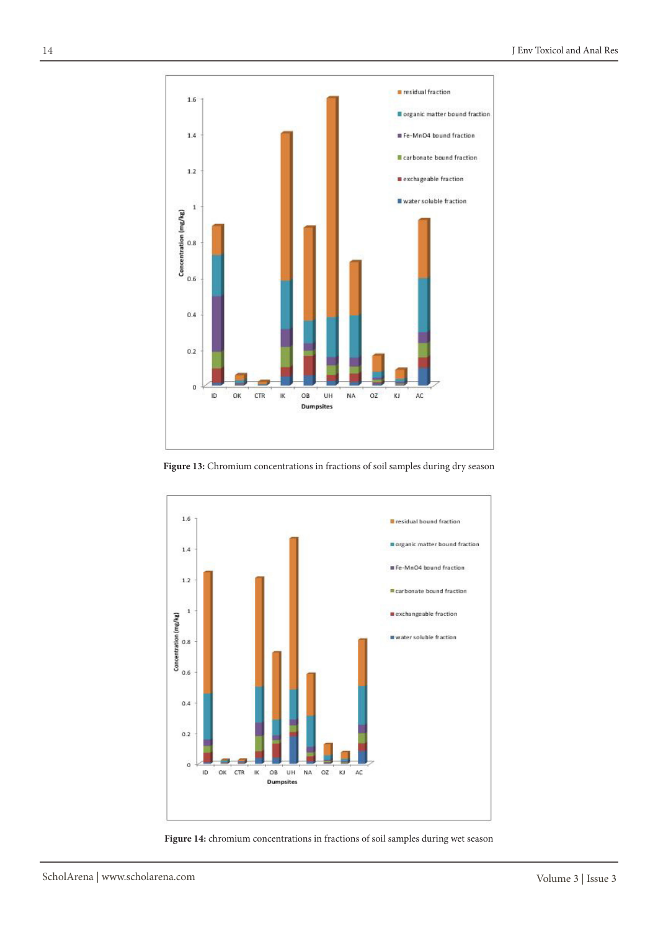

**Figure 13:** Chromium concentrations in fractions of soil samples during dry season



**Figure 14:** chromium concentrations in fractions of soil samples during wet season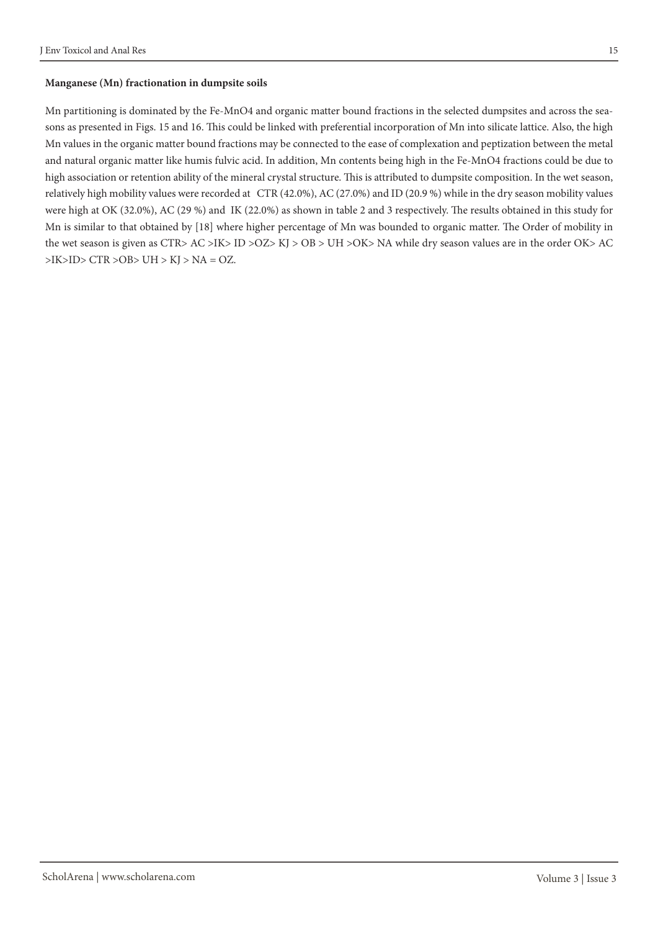#### **Manganese (Mn) fractionation in dumpsite soils**

Mn partitioning is dominated by the Fe-MnO4 and organic matter bound fractions in the selected dumpsites and across the seasons as presented in Figs. 15 and 16. This could be linked with preferential incorporation of Mn into silicate lattice. Also, the high Mn values in the organic matter bound fractions may be connected to the ease of complexation and peptization between the metal and natural organic matter like humis fulvic acid. In addition, Mn contents being high in the Fe-MnO4 fractions could be due to high association or retention ability of the mineral crystal structure. This is attributed to dumpsite composition. In the wet season, relatively high mobility values were recorded at CTR (42.0%), AC (27.0%) and ID (20.9 %) while in the dry season mobility values were high at OK (32.0%), AC (29 %) and IK (22.0%) as shown in table 2 and 3 respectively. The results obtained in this study for Mn is similar to that obtained by [18] where higher percentage of Mn was bounded to organic matter. The Order of mobility in the wet season is given as CTR> AC >IK> ID >OZ> KJ > OB > UH >OK> NA while dry season values are in the order OK> AC  $>$ IK $>$ ID $>$ CTR $>$ OB $>$ UH $>$ KJ $>$ NA = OZ.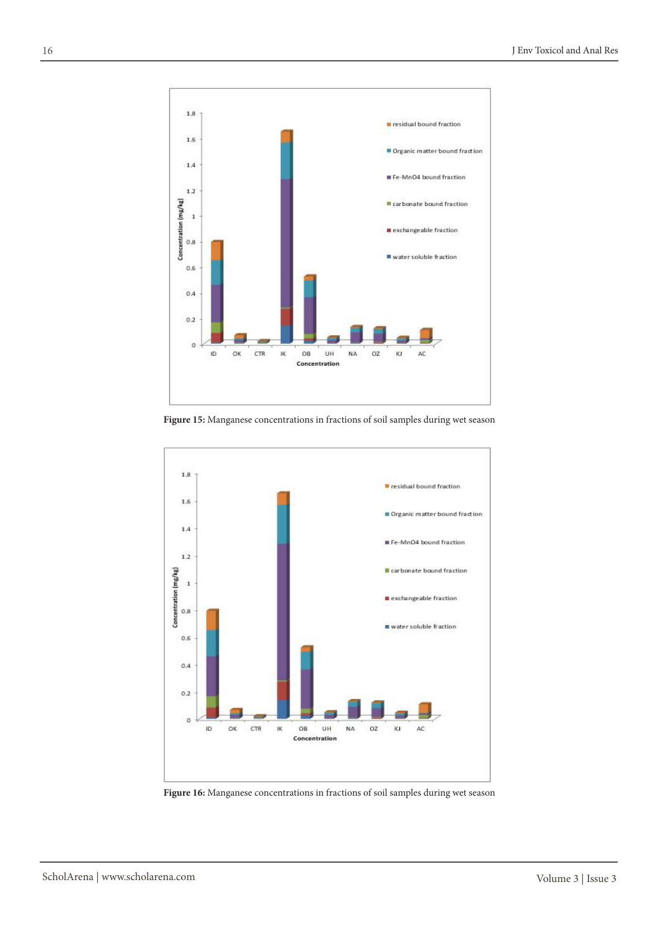

**Figure 15:** Manganese concentrations in fractions of soil samples during wet season



**Figure 16:** Manganese concentrations in fractions of soil samples during wet season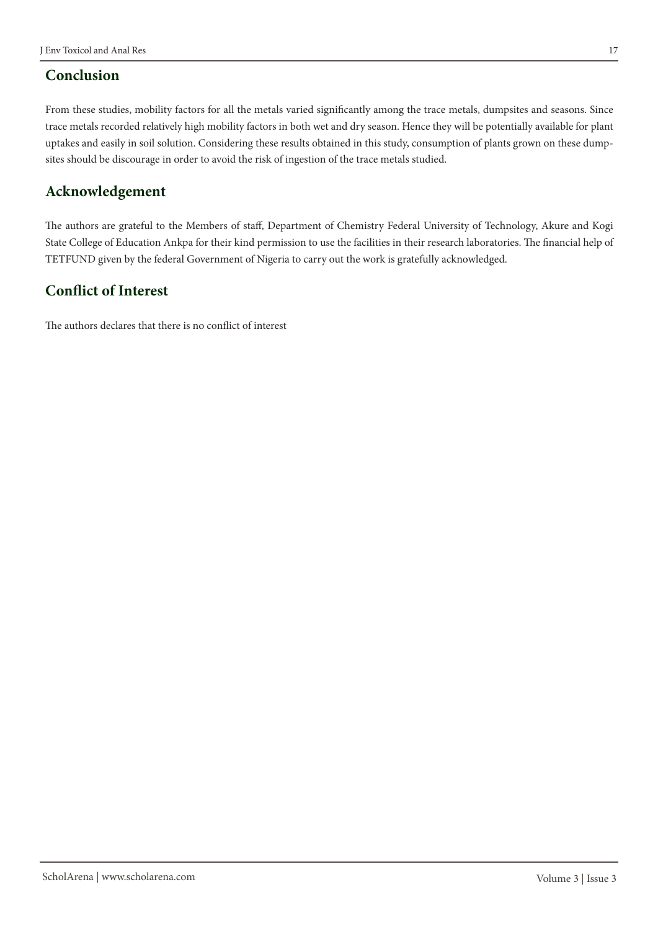### **Conclusion**

From these studies, mobility factors for all the metals varied significantly among the trace metals, dumpsites and seasons. Since trace metals recorded relatively high mobility factors in both wet and dry season. Hence they will be potentially available for plant uptakes and easily in soil solution. Considering these results obtained in this study, consumption of plants grown on these dumpsites should be discourage in order to avoid the risk of ingestion of the trace metals studied.

## **Acknowledgement**

The authors are grateful to the Members of staff, Department of Chemistry Federal University of Technology, Akure and Kogi State College of Education Ankpa for their kind permission to use the facilities in their research laboratories. The financial help of TETFUND given by the federal Government of Nigeria to carry out the work is gratefully acknowledged.

## **Conflict of Interest**

The authors declares that there is no conflict of interest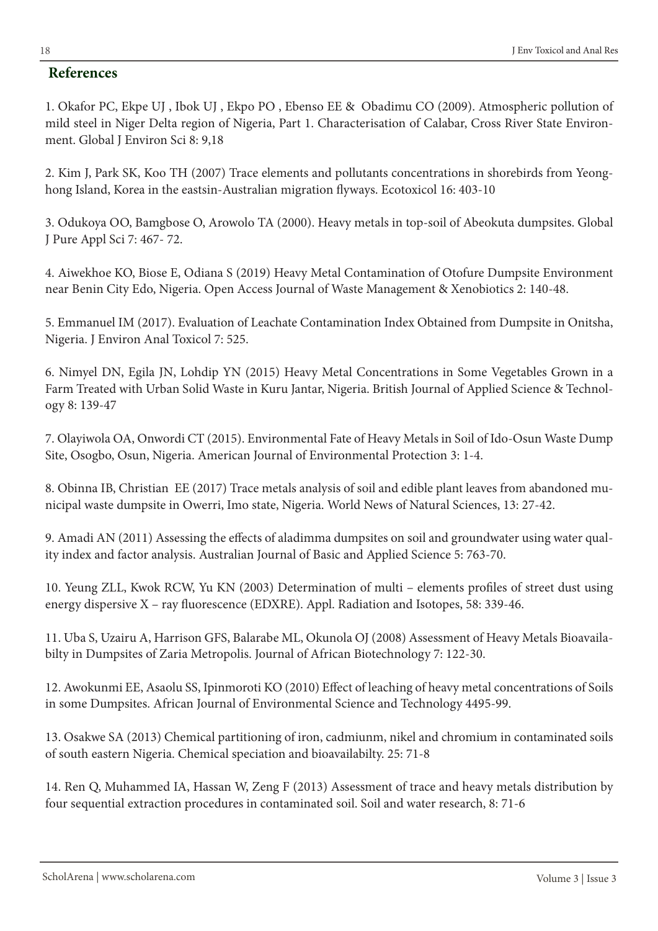### **References**

1. Okafor PC, Ekpe UJ , Ibok UJ , Ekpo PO , Ebenso EE & Obadimu CO (2009). Atmospheric pollution of mild steel in Niger Delta region of Nigeria, Part 1. Characterisation of Calabar, Cross River State Environment. Global J Environ Sci 8: 9,18

2. Kim J, Park SK, Koo TH (2007) Trace elements and pollutants concentrations in shorebirds from Yeonghong Island, Korea in the eastsin-Australian migration flyways. Ecotoxicol 16: 403-10

3. Odukoya OO, Bamgbose O, Arowolo TA (2000). Heavy metals in top-soil of Abeokuta dumpsites. Global J Pure Appl Sci 7: 467- 72.

4. Aiwekhoe KO, Biose E, Odiana S (2019) Heavy Metal Contamination of Otofure Dumpsite Environment near Benin City Edo, Nigeria. Open Access Journal of Waste Management & Xenobiotics 2: 140-48.

5. Emmanuel IM (2017). Evaluation of Leachate Contamination Index Obtained from Dumpsite in Onitsha, Nigeria. J Environ Anal Toxicol 7: 525.

6. Nimyel DN, Egila JN, Lohdip YN (2015) Heavy Metal Concentrations in Some Vegetables Grown in a Farm Treated with Urban Solid Waste in Kuru Jantar, Nigeria. British Journal of Applied Science & Technology 8: 139-47

7. Olayiwola OA, Onwordi CT (2015). Environmental Fate of Heavy Metals in Soil of Ido-Osun Waste Dump Site, Osogbo, Osun, Nigeria. American Journal of Environmental Protection 3: 1-4.

8. Obinna IB, [Christian](http://yadda.icm.edu.pl/yadda/contributor/f7266058ec938b3e222af889b1aa7cf8) EE (2017) Trace metals analysis of soil and edible plant leaves from abandoned municipal waste dumpsite in Owerri, Imo state, Nigeria. World News of Natural Sciences, [13:](http://yadda.icm.edu.pl/yadda/element/bwmeta1.element.psjd-6c241179-0678-40ea-926c-f27081e1f6ee) 27-42.

9. Amadi AN (2011) Assessing the effects of aladimma dumpsites on soil and groundwater using water quality index and factor analysis. Australian Journal of Basic and Applied Science 5: 763-70.

10. Yeung ZLL, Kwok RCW, Yu KN (2003) Determination of multi – elements profiles of street dust using energy dispersive X – ray fluorescence (EDXRE). Appl. Radiation and Isotopes, 58: 339-46.

11. Uba S, Uzairu A, Harrison GFS, Balarabe ML, Okunola OJ (2008) Assessment of Heavy Metals Bioavailabilty in Dumpsites of Zaria Metropolis. Journal of African Biotechnology 7: 122-30.

12. Awokunmi EE, Asaolu SS, Ipinmoroti KO (2010) Effect of leaching of heavy metal concentrations of Soils in some Dumpsites. African Journal of Environmental Science and Technology 4495-99.

13. Osakwe SA (2013) Chemical partitioning of iron, cadmiunm, nikel and chromium in contaminated soils of south eastern Nigeria. Chemical speciation and bioavailabilty. 25: 71-8

14. Ren Q, Muhammed IA, Hassan W, Zeng F (2013) Assessment of trace and heavy metals distribution by four sequential extraction procedures in contaminated soil. Soil and water research, 8: 71-6